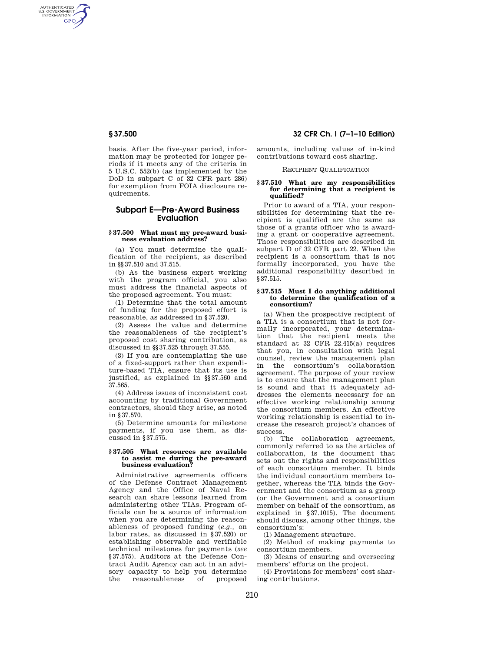AUTHENTICATED<br>U.S. GOVERNMENT<br>INFORMATION **GPO** 

> basis. After the five-year period, information may be protected for longer periods if it meets any of the criteria in 5 U.S.C. 552(b) (as implemented by the DoD in subpart C of 32 CFR part 286) for exemption from FOIA disclosure requirements.

# **Subpart E—Pre-Award Business Evaluation**

# **§ 37.500 What must my pre-award business evaluation address?**

(a) You must determine the qualification of the recipient, as described in §§37.510 and 37.515.

(b) As the business expert working with the program official, you also must address the financial aspects of the proposed agreement. You must:

(1) Determine that the total amount of funding for the proposed effort is reasonable, as addressed in §37.520.

(2) Assess the value and determine the reasonableness of the recipient's proposed cost sharing contribution, as discussed in §§37.525 through 37.555.

(3) If you are contemplating the use of a fixed-support rather than expenditure-based TIA, ensure that its use is justified, as explained in §§37.560 and 37.565.

(4) Address issues of inconsistent cost accounting by traditional Government contractors, should they arise, as noted in §37.570.

(5) Determine amounts for milestone payments, if you use them, as discussed in §37.575.

## **§ 37.505 What resources are available to assist me during the pre-award business evaluation?**

Administrative agreements officers of the Defense Contract Management Agency and the Office of Naval Research can share lessons learned from administering other TIAs. Program officials can be a source of information when you are determining the reasonableness of proposed funding (*e.g.,* on labor rates, as discussed in §37.520) or establishing observable and verifiable technical milestones for payments (*see*  §37.575). Auditors at the Defense Contract Audit Agency can act in an advisory capacity to help you determine<br>the reasonableness of proposed reasonableness of proposed

# **§ 37.500 32 CFR Ch. I (7–1–10 Edition)**

amounts, including values of in-kind contributions toward cost sharing.

#### RECIPIENT QUALIFICATION

#### **§ 37.510 What are my responsibilities for determining that a recipient is qualified?**

Prior to award of a TIA, your responsibilities for determining that the recipient is qualified are the same as those of a grants officer who is awarding a grant or cooperative agreement. Those responsibilities are described in subpart D of 32 CFR part 22. When the recipient is a consortium that is not formally incorporated, you have the additional responsibility described in §37.515.

## **§ 37.515 Must I do anything additional to determine the qualification of a consortium?**

(a) When the prospective recipient of a TIA is a consortium that is not formally incorporated, your determination that the recipient meets the standard at 32 CFR  $22.415(a)$  requires that you, in consultation with legal counsel, review the management plan in the consortium's collaboration agreement. The purpose of your review is to ensure that the management plan is sound and that it adequately addresses the elements necessary for an effective working relationship among the consortium members. An effective working relationship is essential to increase the research project's chances of success.

(b) The collaboration agreement, commonly referred to as the articles of collaboration, is the document that sets out the rights and responsibilities of each consortium member. It binds the individual consortium members together, whereas the TIA binds the Government and the consortium as a group (or the Government and a consortium member on behalf of the consortium, as explained in §37.1015). The document should discuss, among other things, the consortium's:

(1) Management structure.

(2) Method of making payments to consortium members.

(3) Means of ensuring and overseeing members' efforts on the project.

(4) Provisions for members' cost sharing contributions.